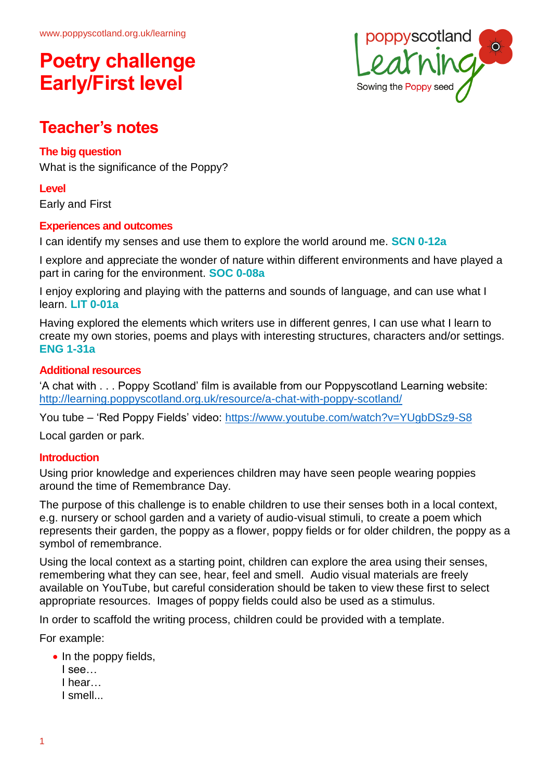

## **Teacher's notes**

## **The big question**

What is the significance of the Poppy?

### **Level**

Early and First

## **Experiences and outcomes**

I can identify my senses and use them to explore the world around me. **SCN 0-12a**

I explore and appreciate the wonder of nature within different environments and have played a part in caring for the environment. **SOC 0-08a**

I enjoy exploring and playing with the patterns and sounds of language, and can use what I learn. **LIT 0-01a**

Having explored the elements which writers use in different genres, I can use what I learn to create my own stories, poems and plays with interesting structures, characters and/or settings. **ENG 1-31a**

#### **Additional resources**

'A chat with . . . Poppy Scotland' film is available from our Poppyscotland Learning website: <http://learning.poppyscotland.org.uk/resource/a-chat-with-poppy-scotland/>

You tube – 'Red Poppy Fields' video:<https://www.youtube.com/watch?v=YUgbDSz9-S8>

Local garden or park.

## **Introduction**

Using prior knowledge and experiences children may have seen people wearing poppies around the time of Remembrance Day.

The purpose of this challenge is to enable children to use their senses both in a local context, e.g. nursery or school garden and a variety of audio-visual stimuli, to create a poem which represents their garden, the poppy as a flower, poppy fields or for older children, the poppy as a symbol of remembrance.

Using the local context as a starting point, children can explore the area using their senses, remembering what they can see, hear, feel and smell. Audio visual materials are freely available on YouTube, but careful consideration should be taken to view these first to select appropriate resources. Images of poppy fields could also be used as a stimulus.

In order to scaffold the writing process, children could be provided with a template.

For example:

- In the poppy fields,
	- I see…
	- I hear…
	- I smell...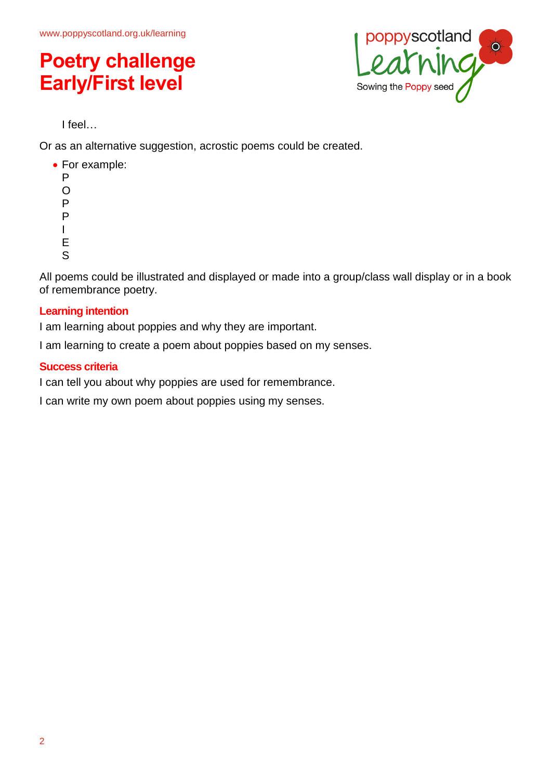

I feel…

Or as an alternative suggestion, acrostic poems could be created.

- For example:
	- P O P
	- P
	- I
	- E
	- S

All poems could be illustrated and displayed or made into a group/class wall display or in a book of remembrance poetry.

## **Learning intention**

I am learning about poppies and why they are important.

I am learning to create a poem about poppies based on my senses.

## **Success criteria**

I can tell you about why poppies are used for remembrance.

I can write my own poem about poppies using my senses.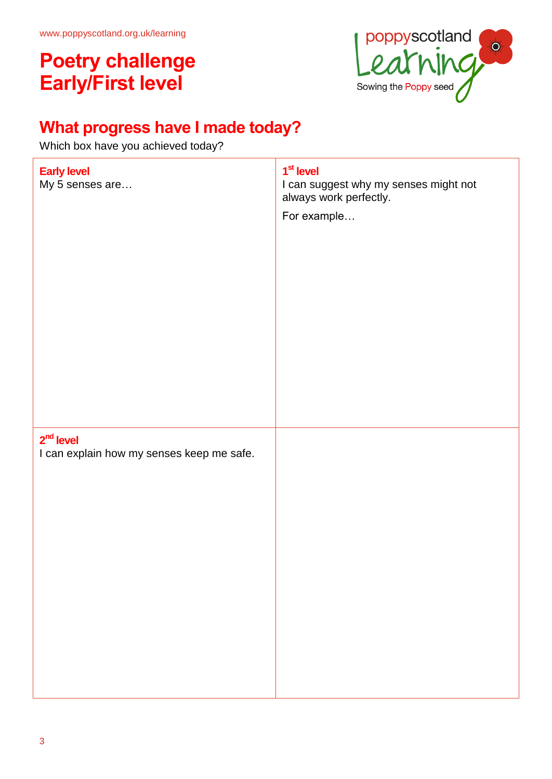

# **What progress have I made today?**

Which box have you achieved today?

| <b>Early level</b><br>My 5 senses are                    | 1 <sup>st</sup> level<br>I can suggest why my senses might not<br>always work perfectly.<br>For example |
|----------------------------------------------------------|---------------------------------------------------------------------------------------------------------|
| $2nd$ level<br>I can explain how my senses keep me safe. |                                                                                                         |